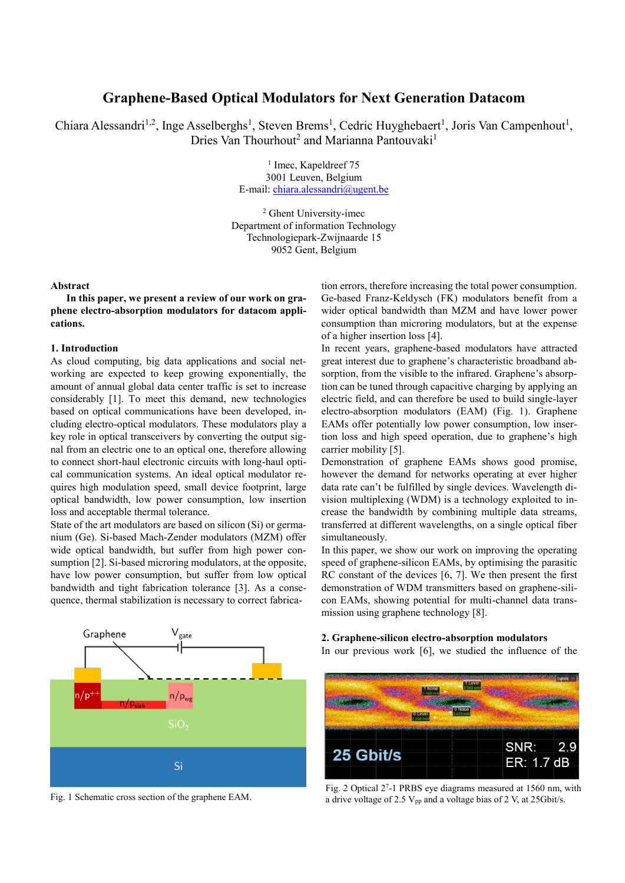# **Graphene-Based Optical Modulators for Next Generation Datacom**

Chiara Alessandri<sup>1,2</sup>, Inge Asselberghs<sup>1</sup>, Steven Brems<sup>1</sup>, Cedric Huyghebaert<sup>1</sup>, Joris Van Campenhout<sup>1</sup>, Dries Van Thourhout<sup>2</sup> and Marianna Pantouvaki<sup>1</sup>

> <sup>1</sup> Imec, Kapeldreef 75 3001 Leuven, Belgium E-mail: [chiara.alessandri@ugent.be](mailto:chiara.alessandri@ugent.be)

<sup>2</sup> Ghent University-imec Department of information Technology Technologiepark-Zwijnaarde 15 9052 Gent, Belgium

### **Abstract**

**In this paper, we present a review of our work on graphene electro-absorption modulators for datacom applications.**

# **1. Introduction**

As cloud computing, big data applications and social networking are expected to keep growing exponentially, the amount of annual global data center traffic is set to increase considerably [1]. To meet this demand, new technologies based on optical communications have been developed, including electro-optical modulators. These modulators play a key role in optical transceivers by converting the output signal from an electric one to an optical one, therefore allowing to connect short-haul electronic circuits with long-haul optical communication systems. An ideal optical modulator requires high modulation speed, small device footprint, large optical bandwidth, low power consumption, low insertion loss and acceptable thermal tolerance.

State of the art modulators are based on silicon (Si) or germanium (Ge). Si-based Mach-Zender modulators (MZM) offer wide optical bandwidth, but suffer from high power consumption [2]. Si-based microring modulators, at the opposite, have low power consumption, but suffer from low optical bandwidth and tight fabrication tolerance [3]. As a consequence, thermal stabilization is necessary to correct fabrica-



Fig. 1 Schematic cross section of the graphene EAM.

tion errors, therefore increasing the total power consumption. Ge-based Franz-Keldysch (FK) modulators benefit from a wider optical bandwidth than MZM and have lower power consumption than microring modulators, but at the expense of a higher insertion loss [4].

In recent years, graphene-based modulators have attracted great interest due to graphene's characteristic broadband absorption, from the visible to the infrared. Graphene's absorption can be tuned through capacitive charging by applying an electric field, and can therefore be used to build single-layer electro-absorption modulators (EAM) (Fig. 1). Graphene EAMs offer potentially low power consumption, low insertion loss and high speed operation, due to graphene's high carrier mobility [5].

Demonstration of graphene EAMs shows good promise, however the demand for networks operating at ever higher data rate can't be fulfilled by single devices. Wavelength division multiplexing (WDM) is a technology exploited to increase the bandwidth by combining multiple data streams, transferred at different wavelengths, on a single optical fiber simultaneously.

In this paper, we show our work on improving the operating speed of graphene-silicon EAMs, by optimising the parasitic RC constant of the devices [6, 7]. We then present the first demonstration of WDM transmitters based on graphene-silicon EAMs, showing potential for multi-channel data transmission using graphene technology [8].

**2. Graphene-silicon electro-absorption modulators** In our previous work [6], we studied the influence of the



Fig. 2 Optical 2<sup>7</sup> -1 PRBS eye diagrams measured at 1560 nm, with a drive voltage of 2.5  $V_{pp}$  and a voltage bias of 2 V, at 25 Gbit/s.